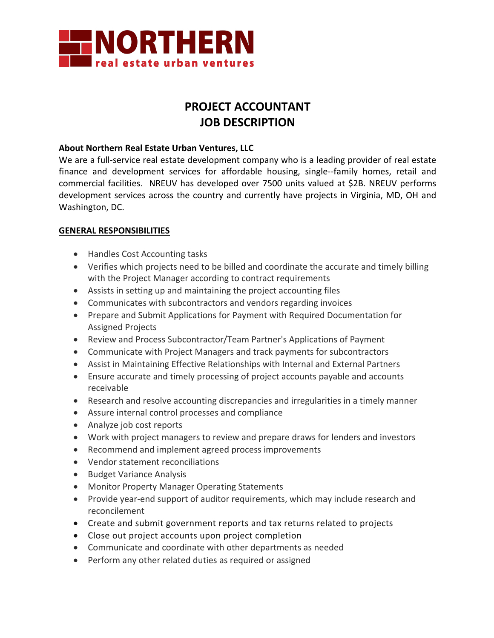

# **PROJECT ACCOUNTANT JOB DESCRIPTION**

## **About Northern Real Estate Urban Ventures, LLC**

We are a full-service real estate development company who is a leading provider of real estate finance and development services for affordable housing, single--family homes, retail and commercial facilities. NREUV has developed over 7500 units valued at \$2B. NREUV performs development services across the country and currently have projects in Virginia, MD, OH and Washington, DC.

# **GENERAL RESPONSIBILITIES**

- Handles Cost Accounting tasks
- Verifies which projects need to be billed and coordinate the accurate and timely billing with the Project Manager according to contract requirements
- Assists in setting up and maintaining the project accounting files
- Communicates with subcontractors and vendors regarding invoices
- Prepare and Submit Applications for Payment with Required Documentation for Assigned Projects
- Review and Process Subcontractor/Team Partner's Applications of Payment
- Communicate with Project Managers and track payments for subcontractors
- Assist in Maintaining Effective Relationships with Internal and External Partners
- Ensure accurate and timely processing of project accounts payable and accounts receivable
- Research and resolve accounting discrepancies and irregularities in a timely manner
- Assure internal control processes and compliance
- Analyze job cost reports
- Work with project managers to review and prepare draws for lenders and investors
- Recommend and implement agreed process improvements
- Vendor statement reconciliations
- Budget Variance Analysis
- Monitor Property Manager Operating Statements
- Provide year-end support of auditor requirements, which may include research and reconcilement
- Create and submit government reports and tax returns related to projects
- Close out project accounts upon project completion
- Communicate and coordinate with other departments as needed
- Perform any other related duties as required or assigned